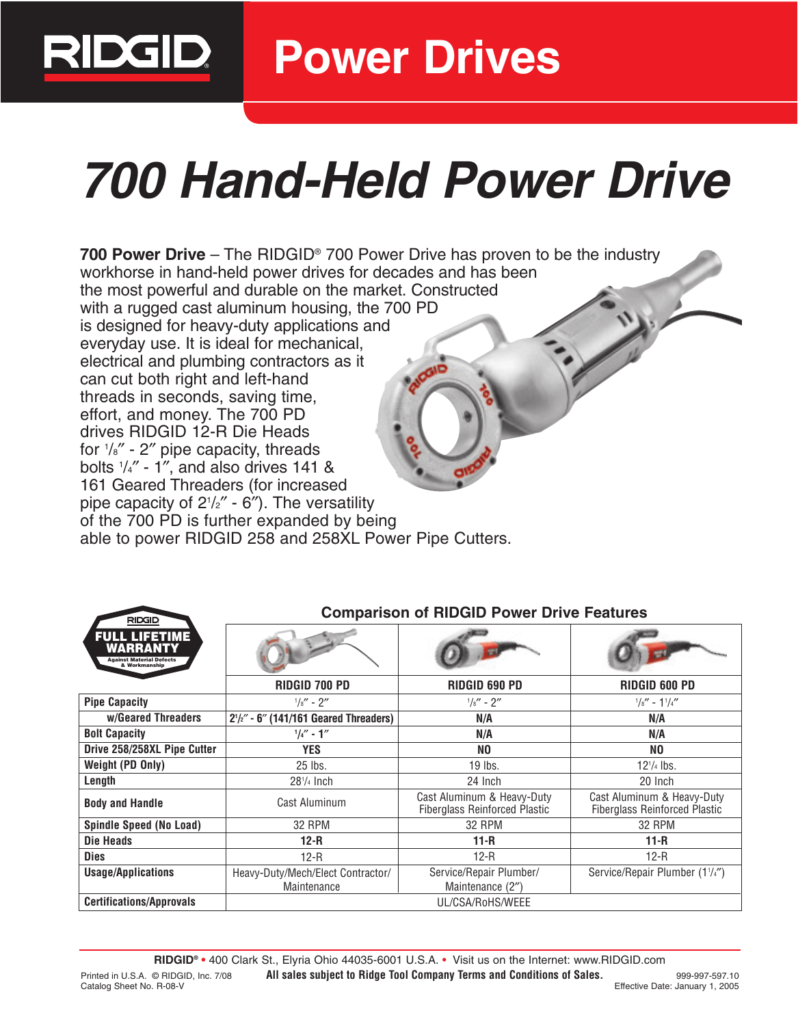

**Power Drives**

# **700 Hand-Held Power Drive**

**700 Power Drive** – The RIDGID® 700 Power Drive has proven to be the industry workhorse in hand-held power drives for decades and has been the most powerful and durable on the market. Constructed with a rugged cast aluminum housing, the 700 PD is designed for heavy-duty applications and everyday use. It is ideal for mechanical, electrical and plumbing contractors as it can cut both right and left-hand threads in seconds, saving time, effort, and money. The 700 PD drives RIDGID 12-R Die Heads for 1 /8″ - 2″ pipe capacity, threads bolts 1 /4″ - 1″, and also drives 141 & 161 Geared Threaders (for increased pipe capacity of 21 /2″ - 6″). The versatility of the 700 PD is further expanded by being able to power RIDGID 258 and 258XL Power Pipe Cutters.

| <b>RILUIL</b><br><b>FULL LIFETIME</b><br>WARRANTY<br><b>Against Material Defects</b><br>& Workmanship |                                                  |                                                                    |                                                                    |
|-------------------------------------------------------------------------------------------------------|--------------------------------------------------|--------------------------------------------------------------------|--------------------------------------------------------------------|
|                                                                                                       | <b>RIDGID 700 PD</b>                             | <b>RIDGID 690 PD</b>                                               | RIDGID 600 PD                                                      |
| <b>Pipe Capacity</b>                                                                                  | $^{1}/_{8}$ " - 2"                               | $1/s'' - 2''$                                                      | $1/s'' - 11/4''$                                                   |
| w/Geared Threaders                                                                                    | $2^{1}/2'' - 6''$ (141/161 Geared Threaders)     | N/A                                                                | N/A                                                                |
| <b>Bolt Capacity</b>                                                                                  | $1/4'' - 1''$                                    | N/A                                                                | N/A                                                                |
| Drive 258/258XL Pipe Cutter                                                                           | <b>YES</b>                                       | NO                                                                 | NO                                                                 |
| Weight (PD Only)                                                                                      | 25 lbs.                                          | 19 lbs.                                                            | $12^{1/4}$ lbs.                                                    |
| Length                                                                                                | $281/4$ Inch                                     | 24 Inch                                                            | 20 Inch                                                            |
| <b>Body and Handle</b>                                                                                | Cast Aluminum                                    | Cast Aluminum & Heavy-Duty<br><b>Fiberglass Reinforced Plastic</b> | Cast Aluminum & Heavy-Duty<br><b>Fiberglass Reinforced Plastic</b> |
| Spindle Speed (No Load)                                                                               | 32 RPM                                           | 32 RPM                                                             | 32 RPM                                                             |
| Die Heads                                                                                             | $12-R$                                           | $11 - R$                                                           | $11 - R$                                                           |
| <b>Dies</b>                                                                                           | $12-R$                                           | $12-R$                                                             | $12-R$                                                             |
| <b>Usage/Applications</b>                                                                             | Heavy-Duty/Mech/Elect Contractor/<br>Maintenance | Service/Repair Plumber/<br>Maintenance (2")                        | Service/Repair Plumber (1 <sup>1</sup> /4")                        |
| <b>Certifications/Approvals</b>                                                                       |                                                  | UL/CSA/RoHS/WEEE                                                   |                                                                    |

### **Comparison of RIDGID Power Drive Features**